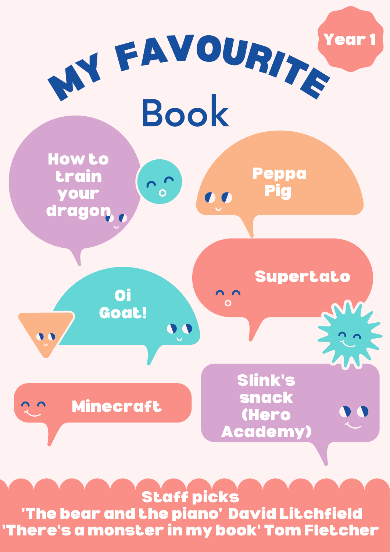Supertato

**Oil** 





## Staff picks 'The bear and the piano' David Litchfield 'There's a monster in my book' Tom Fletcher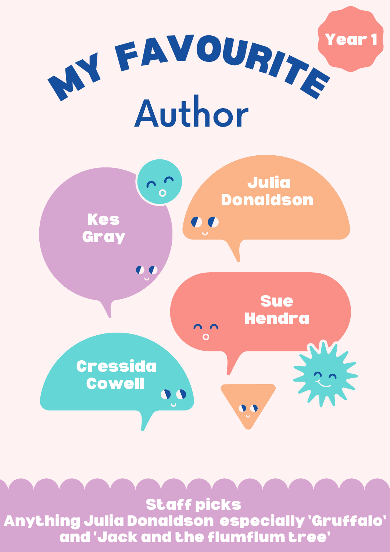## W FAVOURITE Author Year



## Staff picks Anything Julia Donaldson especially 'Gruffalo' and 'Jack and the flumflum tree'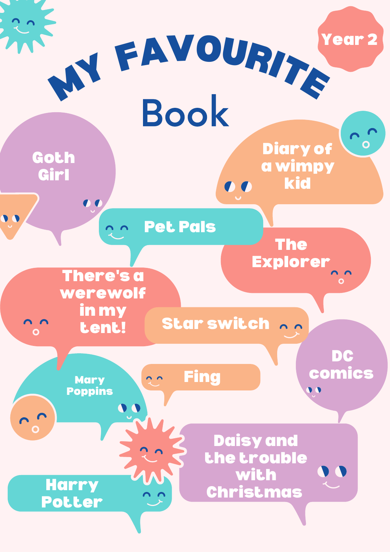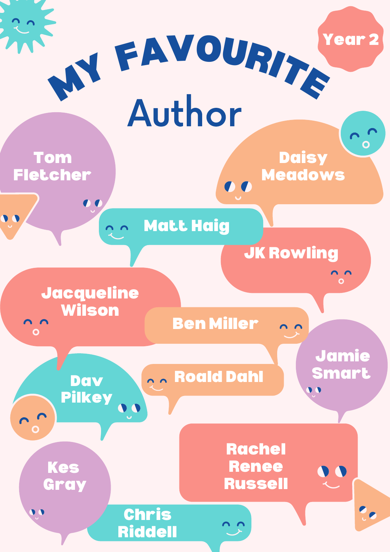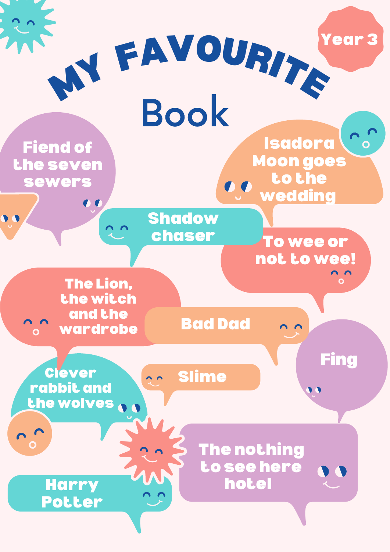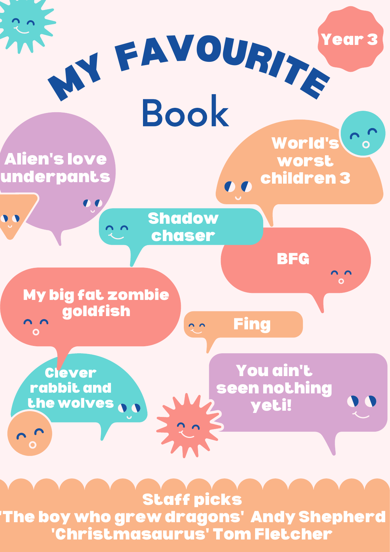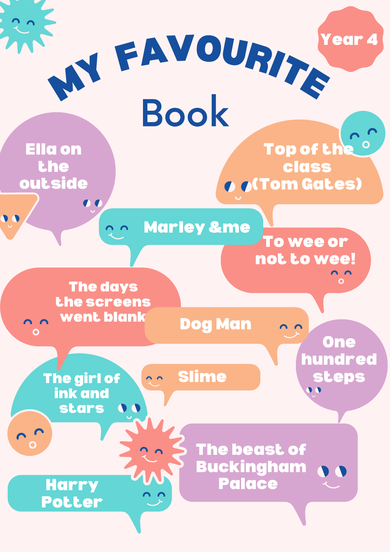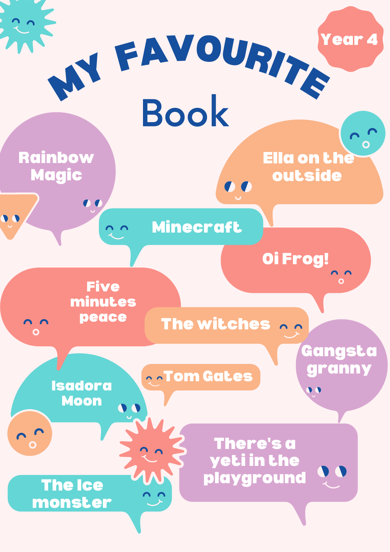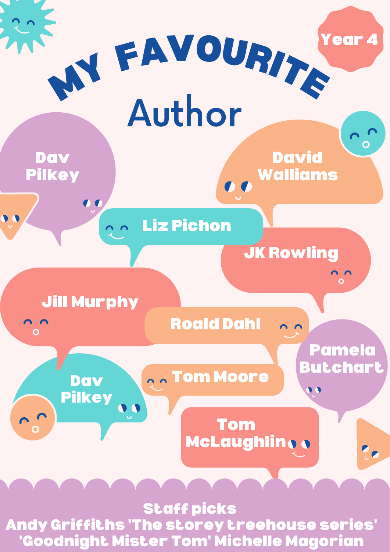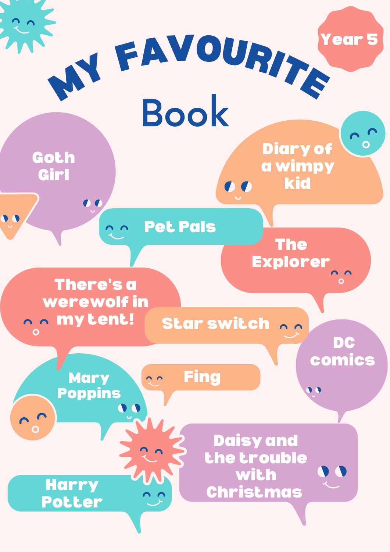![](_page_9_Figure_0.jpeg)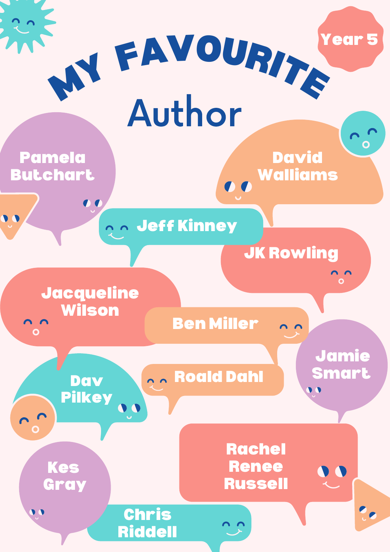![](_page_10_Picture_0.jpeg)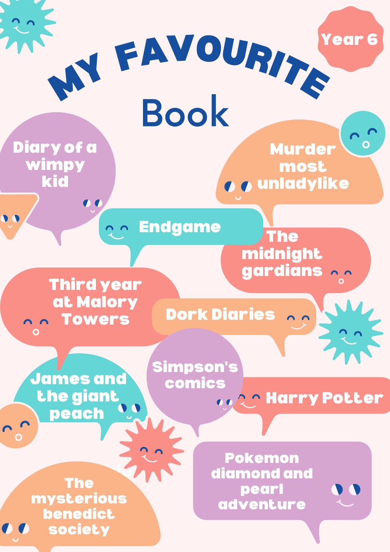Pokemon diamond and pearl adventure

at Malory n n Towers Dork Diaries 22

![](_page_11_Figure_0.jpeg)

James and the giant peach

Mysterion Contractor le<br>.... ysterious<br>Aradiat sneuree<br>sociaty The mysterious benedict society

oo 2 Marry Potter Simpson's comics